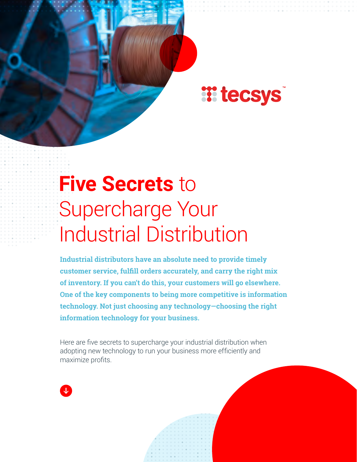### **Witecsys**

# **Five Secrets** to Supercharge Your Industrial Distribution

**Industrial distributors have an absolute need to provide timely customer service, fulfill orders accurately, and carry the right mix of inventory. If you can't do this, your customers will go elsewhere. One of the key components to being more competitive is information technology. Not just choosing any technology—choosing the right information technology for your business.**

Here are five secrets to supercharge your industrial distribution when adopting new technology to run your business more efficiently and maximize profits.